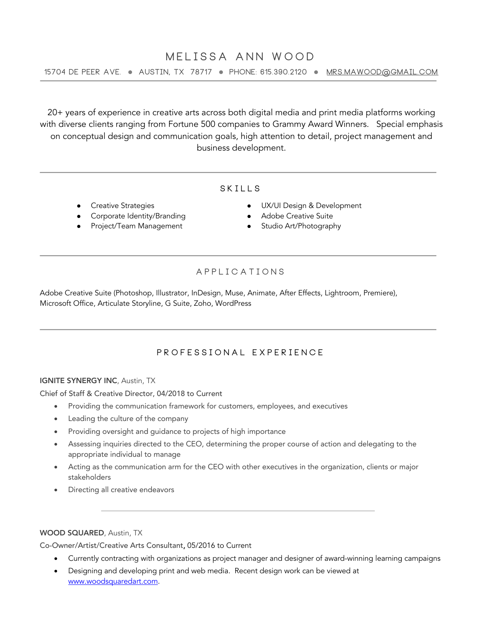# **MELISSA ANN WOOD**

**15704 De Peer Ave.** l **Austin, TX 78717** l **Phone: 615.390.2120** l **mrs.mawood@gmail.com** 

20+ years of experience in creative arts across both digital media and print media platforms working with diverse clients ranging from Fortune 500 companies to Grammy Award Winners. Special emphasis on conceptual design and communication goals, high attention to detail, project management and business development.

### **S KILLS**

- **Creative Strategies**
- Corporate Identity/Branding
- Project/Team Management
- l UX/UI Design & Development
- Adobe Creative Suite
- **•** Studio Art/Photography

## **applications**

Adobe Creative Suite (Photoshop, Illustrator, InDesign, Muse, Animate, After Effects, Lightroom, Premiere), Microsoft Office, Articulate Storyline, G Suite, Zoho, WordPress

## **PROFESSIONAL EXPERIENCE**

#### IGNITE SYNERGY INC, Austin, TX

Chief of Staff & Creative Director, 04/2018 to Current

- Providing the communication framework for customers, employees, and executives
- Leading the culture of the company
- Providing oversight and guidance to projects of high importance
- Assessing inquiries directed to the CEO, determining the proper course of action and delegating to the appropriate individual to manage
- Acting as the communication arm for the CEO with other executives in the organization, clients or major stakeholders
- Directing all creative endeavors

#### WOOD SQUARED, Austin, TX

Co-Owner/Artist/Creative Arts Consultant, 05/2016 to Current

- Currently contracting with organizations as project manager and designer of award-winning learning campaigns
- Designing and developing print and web media. Recent design work can be viewed at www.woodsquaredart.com.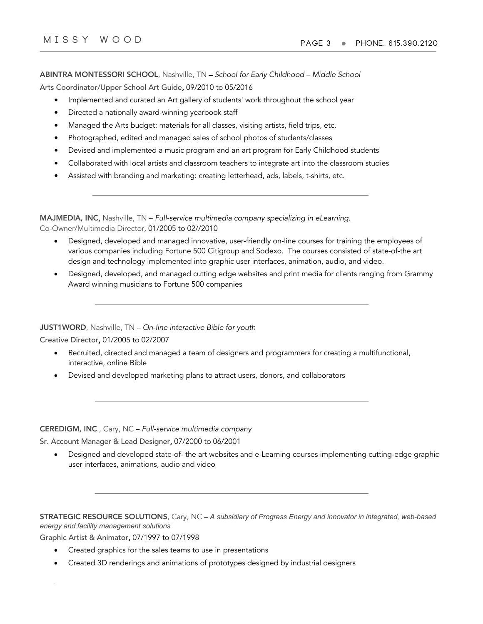ABINTRA MONTESSORI SCHOOL, Nashville, TN – *School for Early Childhood – Middle School* Arts Coordinator/Upper School Art Guide, 09/2010 to 05/2016

- Implemented and curated an Art gallery of students' work throughout the school year
- Directed a nationally award-winning yearbook staff
- Managed the Arts budget: materials for all classes, visiting artists, field trips, etc.
- Photographed, edited and managed sales of school photos of students/classes
- Devised and implemented a music program and an art program for Early Childhood students
- Collaborated with local artists and classroom teachers to integrate art into the classroom studies
- Assisted with branding and marketing: creating letterhead, ads, labels, t-shirts, etc.

| MAJMEDIA, INC, Nashville, TN – Full-service multimedia company specializing in eLearning. |  |
|-------------------------------------------------------------------------------------------|--|
| Co-Owner/Multimedia Director, 01/2005 to 02//2010                                         |  |

- Designed, developed and managed innovative, user-friendly on-line courses for training the employees of various companies including Fortune 500 Citigroup and Sodexo. The courses consisted of state-of-the art design and technology implemented into graphic user interfaces, animation, audio, and video.
- Designed, developed, and managed cutting edge websites and print media for clients ranging from Grammy Award winning musicians to Fortune 500 companies

JUST1WORD, Nashville, TN – *On-line interactive Bible for youth*

Creative Director, 01/2005 to 02/2007

- Recruited, directed and managed a team of designers and programmers for creating a multifunctional, interactive, online Bible
- Devised and developed marketing plans to attract users, donors, and collaborators

CEREDIGM, INC., Cary, NC – *Full-service multimedia company*

Sr. Account Manager & Lead Designer, 07/2000 to 06/2001

• Designed and developed state-of- the art websites and e-Learning courses implementing cutting-edge graphic user interfaces, animations, audio and video

STRATEGIC RESOURCE SOLUTIONS, Cary, NC – *A subsidiary of Progress Energy and innovator in integrated, web-based energy and facility management solutions*

Graphic Artist & Animator, 07/1997 to 07/1998

- Created graphics for the sales teams to use in presentations
- Created 3D renderings and animations of prototypes designed by industrial designers